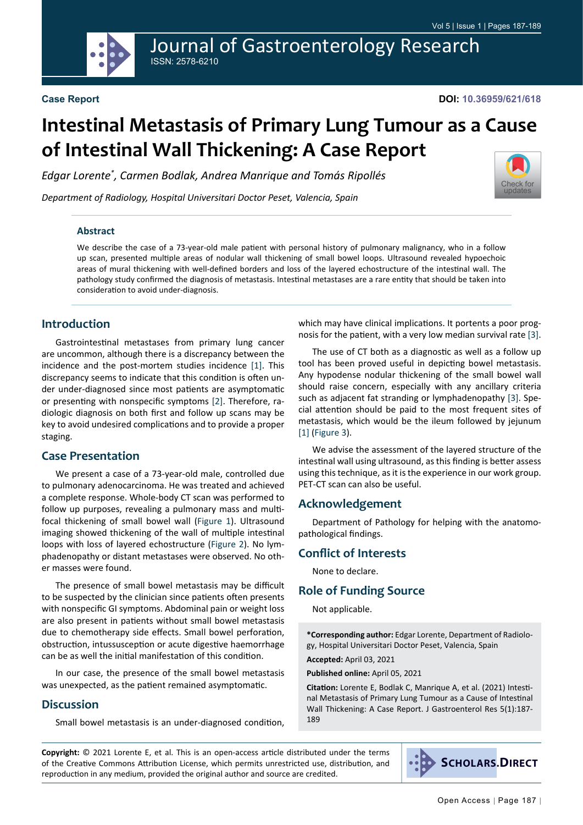Journal of Gastroenterology Research ISSN: 2578-6210

[Check for](http://crossmark.crossref.org/dialog/?doi=10.36959/621/618&domain=pdf) updates

# **Intestinal Metastasis of Primary Lung Tumour as a Cause of Intestinal Wall Thickening: A Case Report**

*Edgar Lorente\* , Carmen Bodlak, Andrea Manrique and Tomás Ripollés*

*Department of Radiology, Hospital Universitari Doctor Peset, Valencia, Spain*

#### **Abstract**

We describe the case of a 73-year-old male patient with personal history of pulmonary malignancy, who in a follow up scan, presented multiple areas of nodular wall thickening of small bowel loops. Ultrasound revealed hypoechoic areas of mural thickening with well-defined borders and loss of the layered echostructure of the intestinal wall. The pathology study confirmed the diagnosis of metastasis. Intestinal metastases are a rare entity that should be taken into consideration to avoid under-diagnosis.

## **Introduction**

Gastrointestinal metastases from primary lung cancer are uncommon, although there is a discrepancy between the incidence and the post-mortem studies incidence [\[1\]](#page-2-0). This discrepancy seems to indicate that this condition is often under under-diagnosed since most patients are asymptomatic or presenting with nonspecific symptoms [\[2\]](#page-2-1). Therefore, radiologic diagnosis on both first and follow up scans may be key to avoid undesired complications and to provide a proper staging.

#### **Case Presentation**

We present a case of a 73-year-old male, controlled due to pulmonary adenocarcinoma. He was treated and achieved a complete response. Whole-body CT scan was performed to follow up purposes, revealing a pulmonary mass and multifocal thickening of small bowel wall ([Figure 1\)](#page-1-0). Ultrasound imaging showed thickening of the wall of multiple intestinal loops with loss of layered echostructure ([Figure 2](#page-1-1)). No lymphadenopathy or distant metastases were observed. No other masses were found.

The presence of small bowel metastasis may be difficult to be suspected by the clinician since patients often presents with nonspecific GI symptoms. Abdominal pain or weight loss are also present in patients without small bowel metastasis due to chemotherapy side effects. Small bowel perforation, obstruction, intussusception or acute digestive haemorrhage can be as well the initial manifestation of this condition.

In our case, the presence of the small bowel metastasis was unexpected, as the patient remained asymptomatic.

#### **Discussion**

Small bowel metastasis is an under-diagnosed condition,

which may have clinical implications. It portents a poor prognosis for the patient, with a very low median survival rate [\[3](#page-2-2)].

The use of CT both as a diagnostic as well as a follow up tool has been proved useful in depicting bowel metastasis. Any hypodense nodular thickening of the small bowel wall should raise concern, especially with any ancillary criteria such as adjacent fat stranding or lymphadenopathy [[3\]](#page-2-2). Special attention should be paid to the most frequent sites of metastasis, which would be the ileum followed by jejunum [[1\]](#page-2-0) [\(Figure 3](#page-2-3)).

We advise the assessment of the layered structure of the intestinal wall using ultrasound, as this finding is better assess using this technique, as it is the experience in our work group. PET-CT scan can also be useful.

#### **Acknowledgement**

Department of Pathology for helping with the anatomopathological findings.

#### **Conflict of Interests**

None to declare.

## **Role of Funding Source**

Not applicable.

**\*Corresponding author:** Edgar Lorente, Department of Radiology, Hospital Universitari Doctor Peset, Valencia, Spain

**Accepted:** April 03, 2021

**Published online:** April 05, 2021

**Citation:** Lorente E, Bodlak C, Manrique A, et al. (2021) Intestinal Metastasis of Primary Lung Tumour as a Cause of Intestinal Wall Thickening: A Case Report. J Gastroenterol Res 5(1):187- 189

**Copyright:** © 2021 Lorente E, et al. This is an open-access article distributed under the terms of the Creative Commons Attribution License, which permits unrestricted use, distribution, and reproduction in any medium, provided the original author and source are credited.



**SCHOLARS.DIRECT**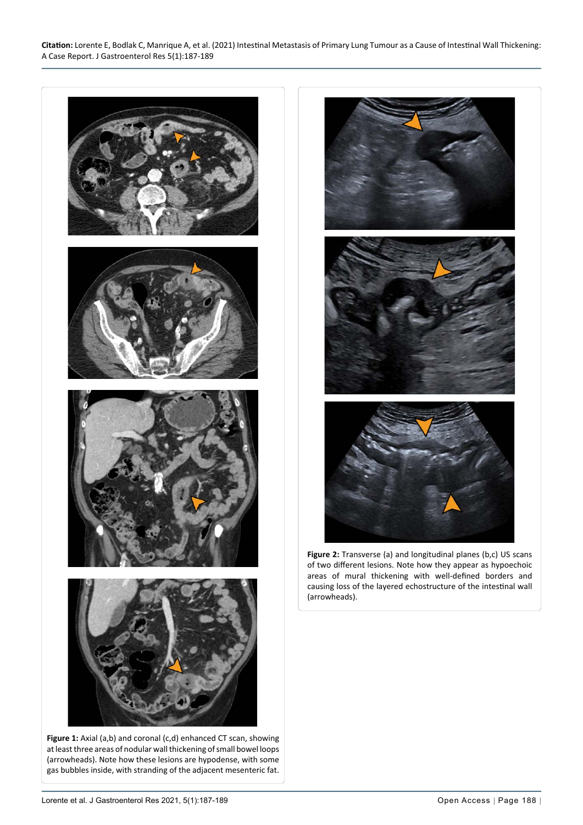<span id="page-1-1"></span>Ĩ



<span id="page-1-0"></span>Ĩ

at least three areas of nodular wall thickening of small bowel loops (arrowheads). Note how these lesions are hypodense, with some gas bubbles inside, with stranding of the adjacent mesenteric fat.



**Figure 2:** Transverse (a) and longitudinal planes (b,c) US scans of two different lesions. Note how they appear as hypoechoic areas of mural thickening with well-defined borders and causing loss of the layered echostructure of the intestinal wall (arrowheads).